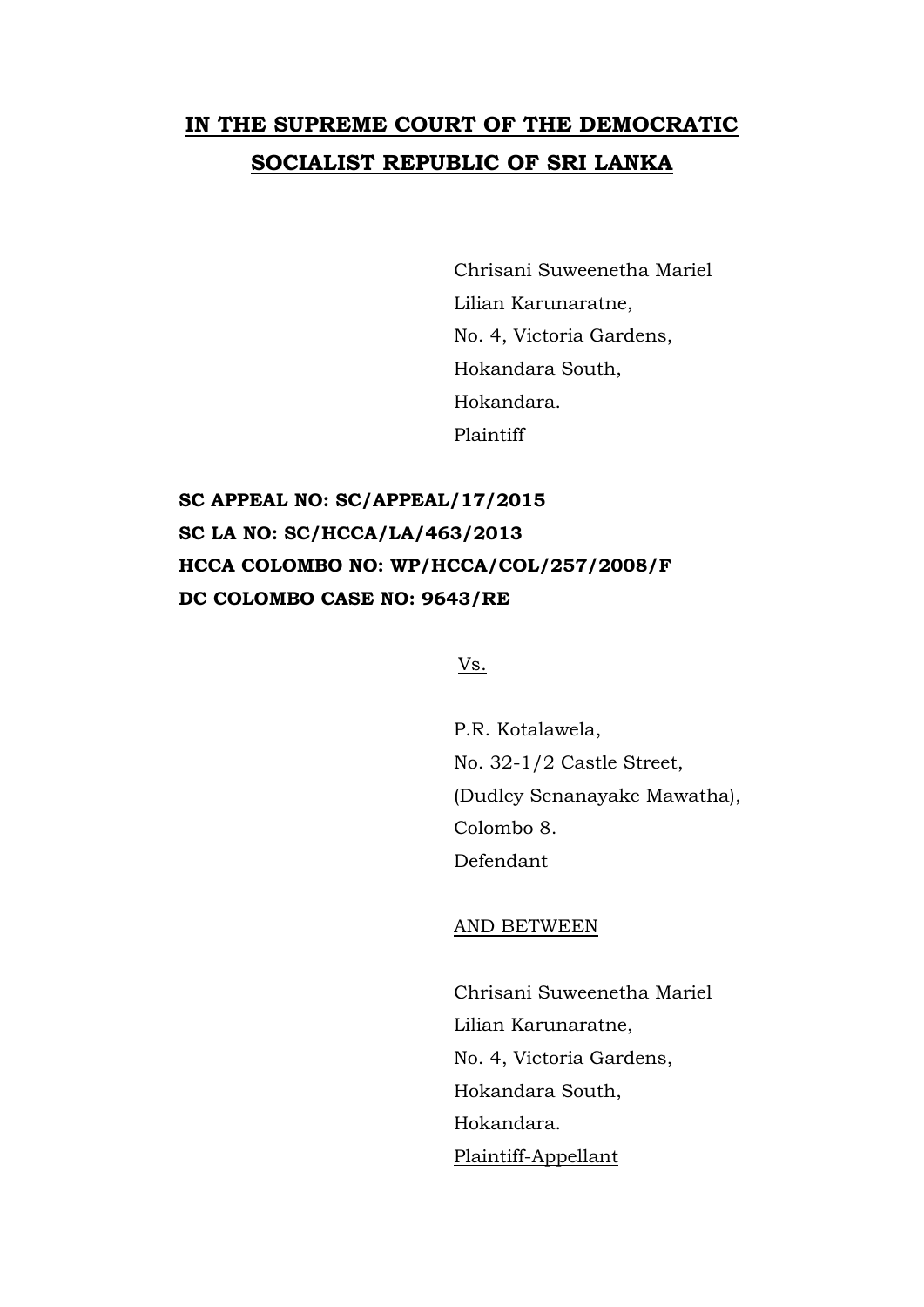## **IN THE SUPREME COURT OF THE DEMOCRATIC SOCIALIST REPUBLIC OF SRI LANKA**

Chrisani Suweenetha Mariel Lilian Karunaratne, No. 4, Victoria Gardens, Hokandara South, Hokandara. Plaintiff

**SC APPEAL NO: SC/APPEAL/17/2015 SC LA NO: SC/HCCA/LA/463/2013 HCCA COLOMBO NO: WP/HCCA/COL/257/2008/F DC COLOMBO CASE NO: 9643/RE**

Vs.

P.R. Kotalawela, No. 32-1/2 Castle Street, (Dudley Senanayake Mawatha), Colombo 8. Defendant

AND BETWEEN

Chrisani Suweenetha Mariel Lilian Karunaratne, No. 4, Victoria Gardens, Hokandara South, Hokandara. Plaintiff-Appellant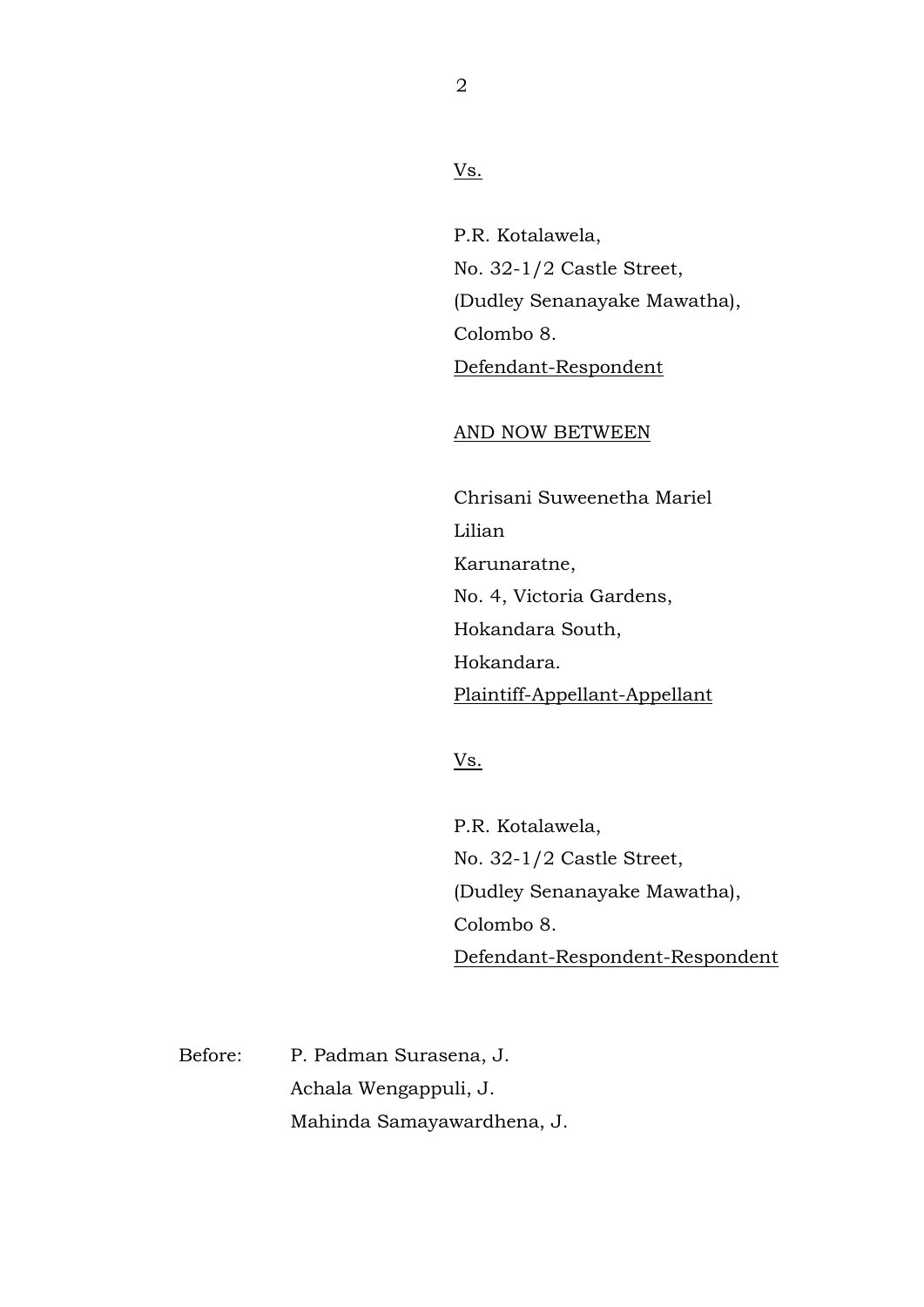2

Vs.

P.R. Kotalawela, No. 32-1/2 Castle Street, (Dudley Senanayake Mawatha), Colombo 8. Defendant-Respondent

## AND NOW BETWEEN

Chrisani Suweenetha Mariel Lilian Karunaratne, No. 4, Victoria Gardens, Hokandara South, Hokandara. Plaintiff-Appellant-Appellant

## Vs.

P.R. Kotalawela, No. 32-1/2 Castle Street, (Dudley Senanayake Mawatha), Colombo 8. Defendant-Respondent-Respondent

Before: P. Padman Surasena, J. Achala Wengappuli, J. Mahinda Samayawardhena, J.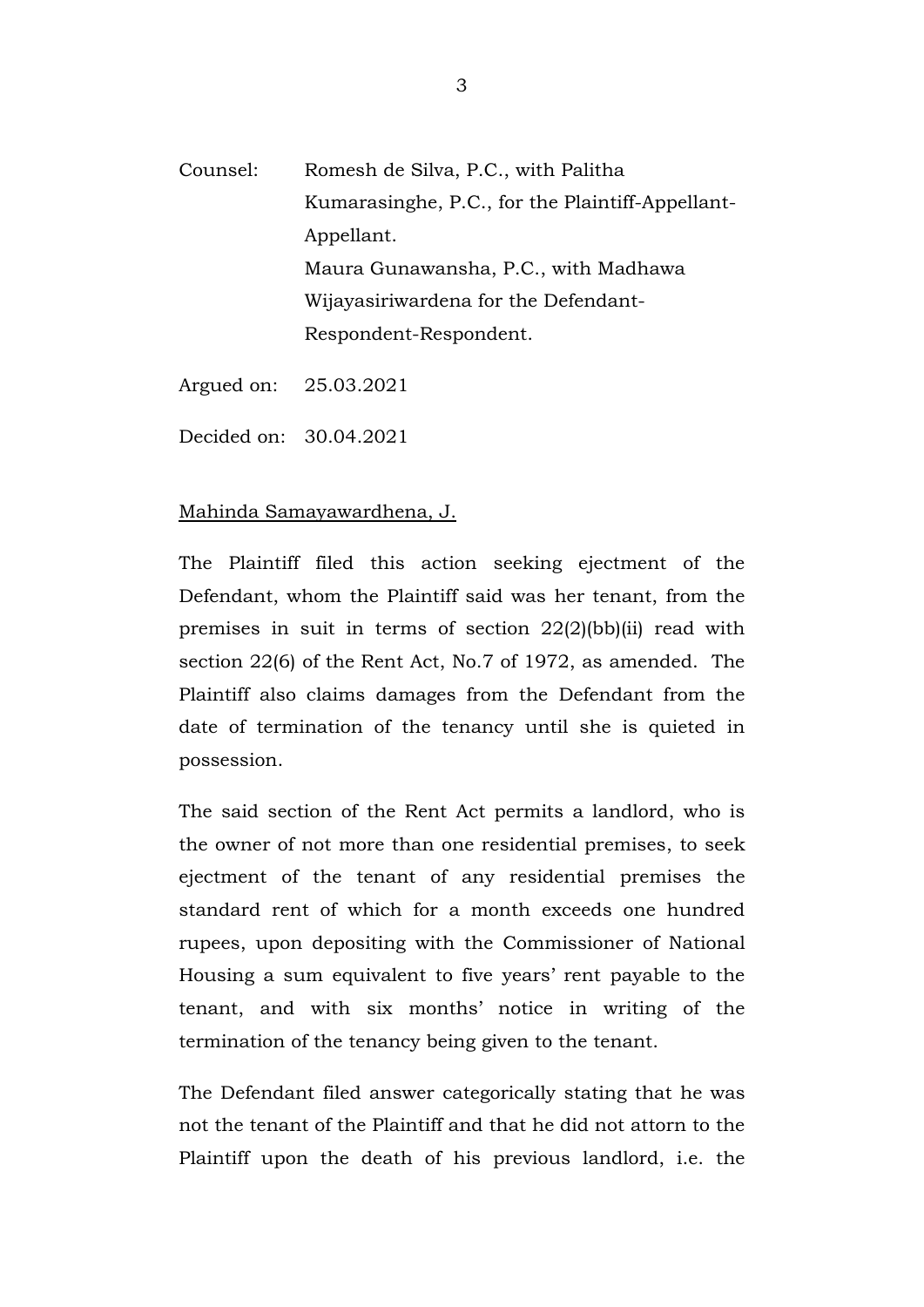- Counsel: Romesh de Silva, P.C., with Palitha Kumarasinghe, P.C., for the Plaintiff-Appellant-Appellant. Maura Gunawansha, P.C., with Madhawa Wijayasiriwardena for the Defendant-Respondent-Respondent.
- Argued on: 25.03.2021
- Decided on: 30.04.2021

## Mahinda Samayawardhena, J.

The Plaintiff filed this action seeking ejectment of the Defendant, whom the Plaintiff said was her tenant, from the premises in suit in terms of section 22(2)(bb)(ii) read with section 22(6) of the Rent Act, No.7 of 1972, as amended. The Plaintiff also claims damages from the Defendant from the date of termination of the tenancy until she is quieted in possession.

The said section of the Rent Act permits a landlord, who is the owner of not more than one residential premises, to seek ejectment of the tenant of any residential premises the standard rent of which for a month exceeds one hundred rupees, upon depositing with the Commissioner of National Housing a sum equivalent to five years' rent payable to the tenant, and with six months' notice in writing of the termination of the tenancy being given to the tenant.

The Defendant filed answer categorically stating that he was not the tenant of the Plaintiff and that he did not attorn to the Plaintiff upon the death of his previous landlord, i.e. the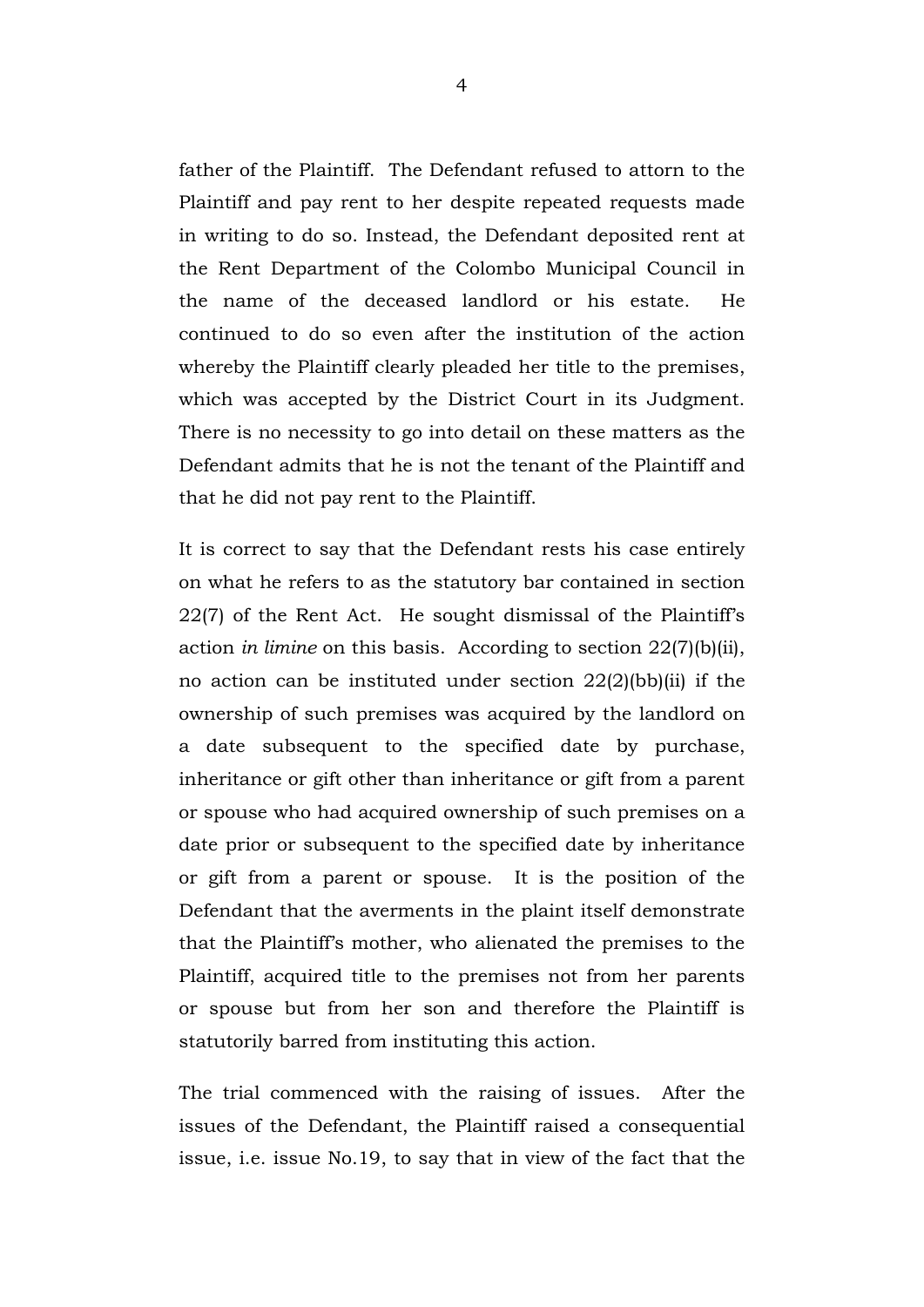father of the Plaintiff. The Defendant refused to attorn to the Plaintiff and pay rent to her despite repeated requests made in writing to do so. Instead, the Defendant deposited rent at the Rent Department of the Colombo Municipal Council in the name of the deceased landlord or his estate. He continued to do so even after the institution of the action whereby the Plaintiff clearly pleaded her title to the premises, which was accepted by the District Court in its Judgment. There is no necessity to go into detail on these matters as the Defendant admits that he is not the tenant of the Plaintiff and that he did not pay rent to the Plaintiff.

It is correct to say that the Defendant rests his case entirely on what he refers to as the statutory bar contained in section 22(7) of the Rent Act. He sought dismissal of the Plaintiff's action *in limine* on this basis. According to section 22(7)(b)(ii), no action can be instituted under section 22(2)(bb)(ii) if the ownership of such premises was acquired by the landlord on a date subsequent to the specified date by purchase, inheritance or gift other than inheritance or gift from a parent or spouse who had acquired ownership of such premises on a date prior or subsequent to the specified date by inheritance or gift from a parent or spouse. It is the position of the Defendant that the averments in the plaint itself demonstrate that the Plaintiff's mother, who alienated the premises to the Plaintiff, acquired title to the premises not from her parents or spouse but from her son and therefore the Plaintiff is statutorily barred from instituting this action.

The trial commenced with the raising of issues. After the issues of the Defendant, the Plaintiff raised a consequential issue, i.e. issue No.19, to say that in view of the fact that the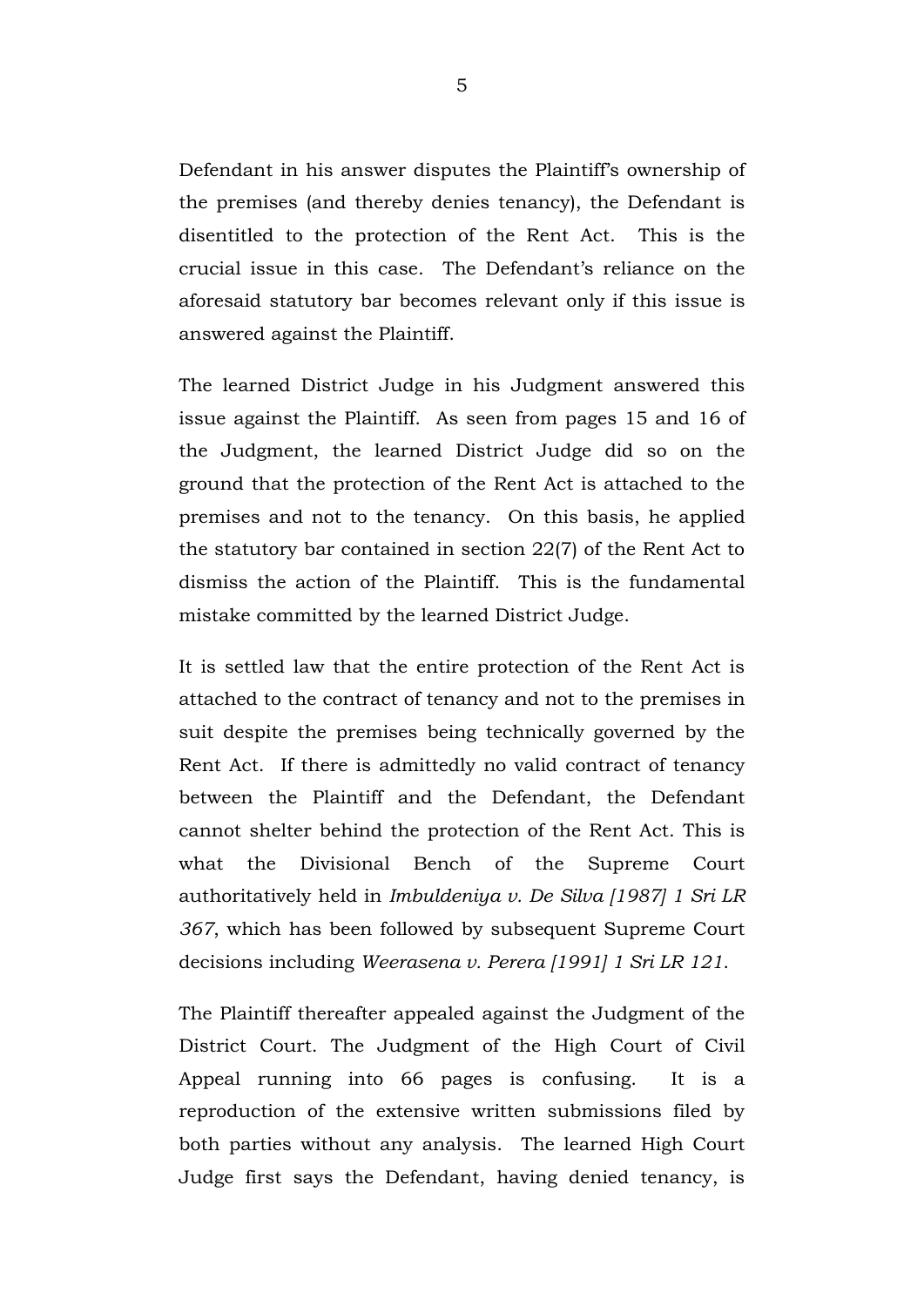Defendant in his answer disputes the Plaintiff's ownership of the premises (and thereby denies tenancy), the Defendant is disentitled to the protection of the Rent Act. This is the crucial issue in this case. The Defendant's reliance on the aforesaid statutory bar becomes relevant only if this issue is answered against the Plaintiff.

The learned District Judge in his Judgment answered this issue against the Plaintiff. As seen from pages 15 and 16 of the Judgment, the learned District Judge did so on the ground that the protection of the Rent Act is attached to the premises and not to the tenancy. On this basis, he applied the statutory bar contained in section 22(7) of the Rent Act to dismiss the action of the Plaintiff. This is the fundamental mistake committed by the learned District Judge.

It is settled law that the entire protection of the Rent Act is attached to the contract of tenancy and not to the premises in suit despite the premises being technically governed by the Rent Act. If there is admittedly no valid contract of tenancy between the Plaintiff and the Defendant, the Defendant cannot shelter behind the protection of the Rent Act. This is what the Divisional Bench of the Supreme Court authoritatively held in *Imbuldeniya v. De Silva [1987] 1 Sri LR 367*, which has been followed by subsequent Supreme Court decisions including *Weerasena v. Perera [1991] 1 Sri LR 121*.

The Plaintiff thereafter appealed against the Judgment of the District Court. The Judgment of the High Court of Civil Appeal running into 66 pages is confusing. It is a reproduction of the extensive written submissions filed by both parties without any analysis. The learned High Court Judge first says the Defendant, having denied tenancy, is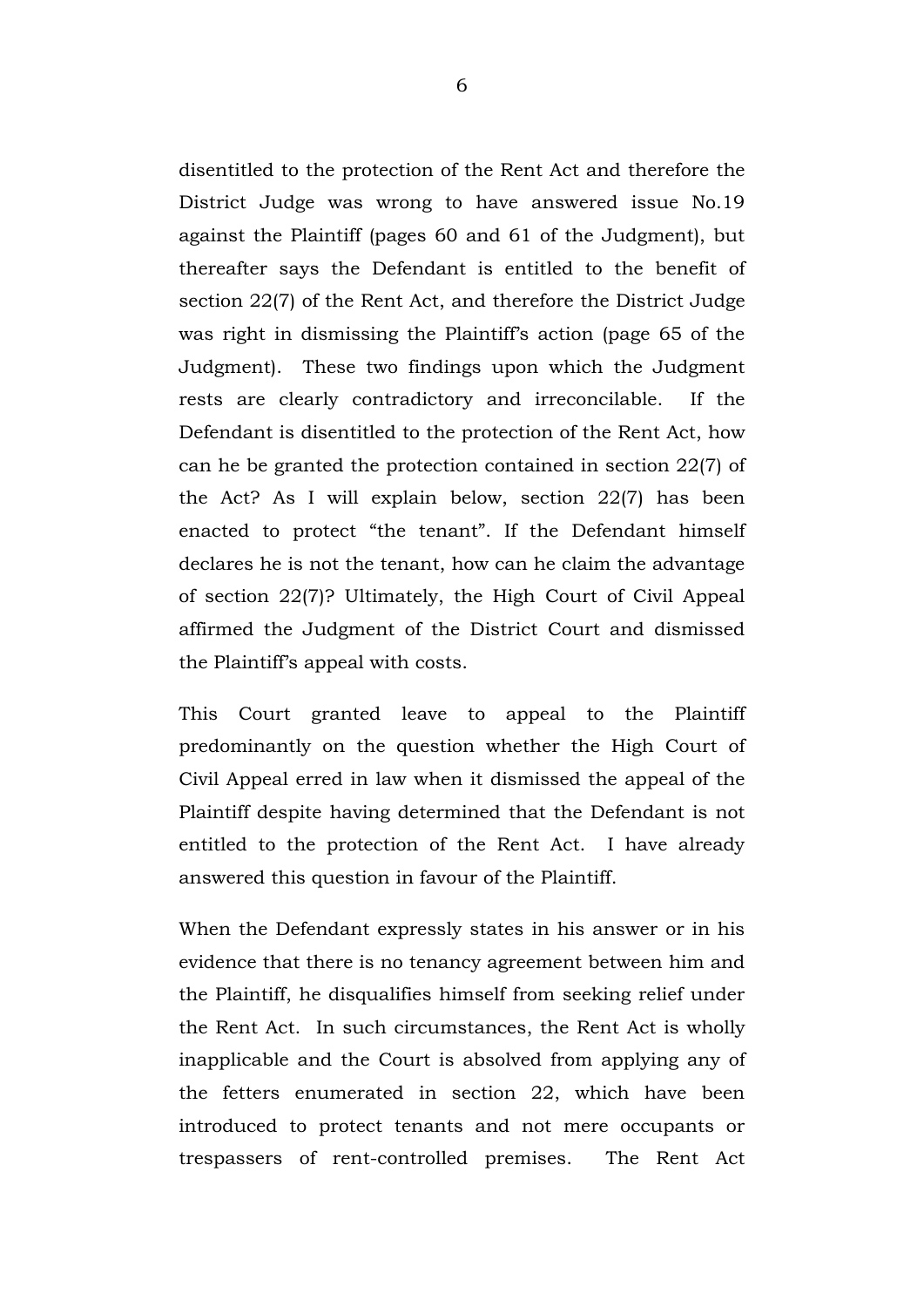disentitled to the protection of the Rent Act and therefore the District Judge was wrong to have answered issue No.19 against the Plaintiff (pages 60 and 61 of the Judgment), but thereafter says the Defendant is entitled to the benefit of section 22(7) of the Rent Act, and therefore the District Judge was right in dismissing the Plaintiff's action (page 65 of the Judgment). These two findings upon which the Judgment rests are clearly contradictory and irreconcilable. If the Defendant is disentitled to the protection of the Rent Act, how can he be granted the protection contained in section 22(7) of the Act? As I will explain below, section 22(7) has been enacted to protect "the tenant". If the Defendant himself declares he is not the tenant, how can he claim the advantage of section 22(7)? Ultimately, the High Court of Civil Appeal affirmed the Judgment of the District Court and dismissed the Plaintiff's appeal with costs.

This Court granted leave to appeal to the Plaintiff predominantly on the question whether the High Court of Civil Appeal erred in law when it dismissed the appeal of the Plaintiff despite having determined that the Defendant is not entitled to the protection of the Rent Act. I have already answered this question in favour of the Plaintiff.

When the Defendant expressly states in his answer or in his evidence that there is no tenancy agreement between him and the Plaintiff, he disqualifies himself from seeking relief under the Rent Act. In such circumstances, the Rent Act is wholly inapplicable and the Court is absolved from applying any of the fetters enumerated in section 22, which have been introduced to protect tenants and not mere occupants or trespassers of rent-controlled premises. The Rent Act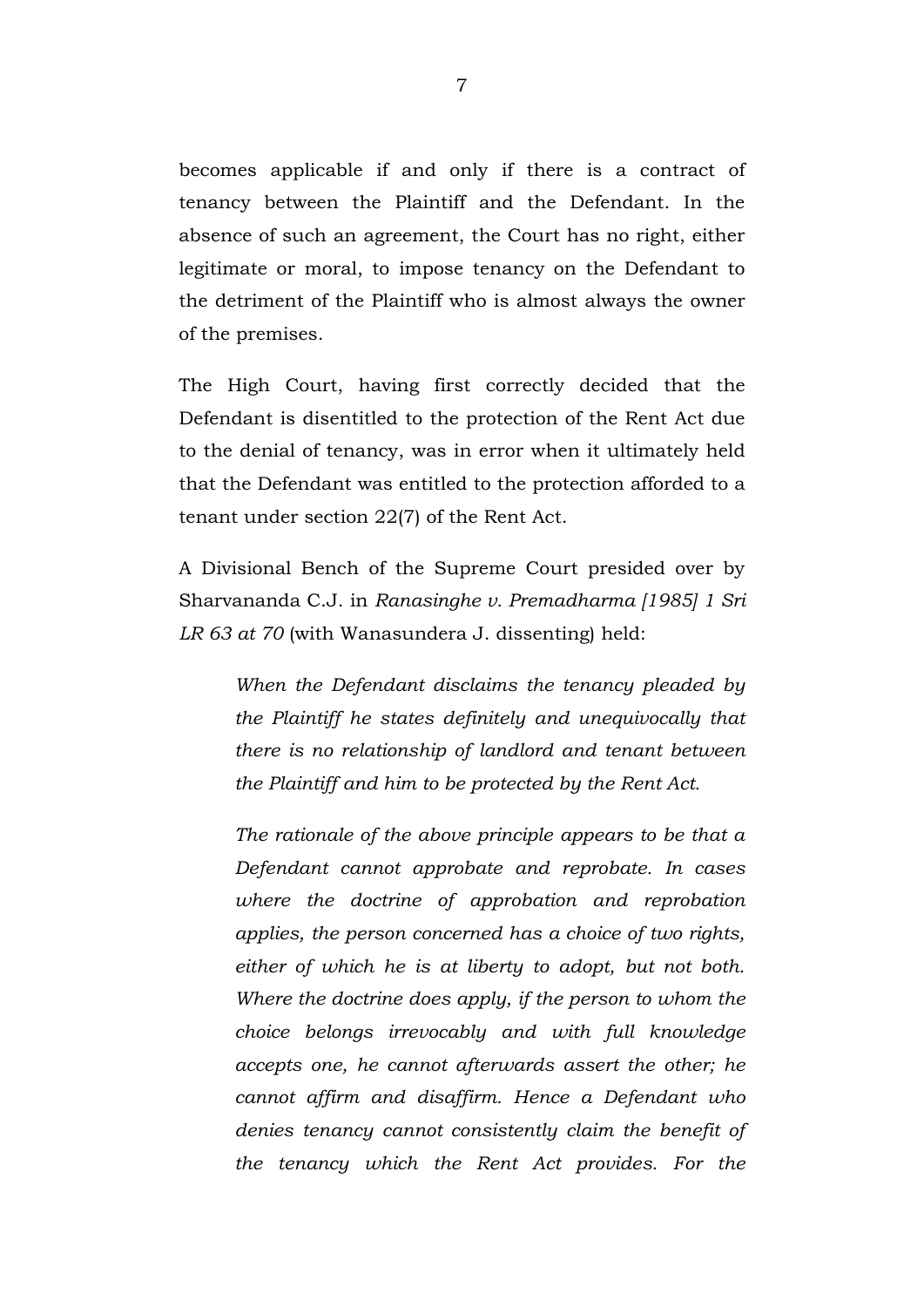becomes applicable if and only if there is a contract of tenancy between the Plaintiff and the Defendant. In the absence of such an agreement, the Court has no right, either legitimate or moral, to impose tenancy on the Defendant to the detriment of the Plaintiff who is almost always the owner of the premises.

The High Court, having first correctly decided that the Defendant is disentitled to the protection of the Rent Act due to the denial of tenancy, was in error when it ultimately held that the Defendant was entitled to the protection afforded to a tenant under section 22(7) of the Rent Act.

A Divisional Bench of the Supreme Court presided over by Sharvananda C.J. in *Ranasinghe v. Premadharma [1985] 1 Sri LR 63 at 70* (with Wanasundera J. dissenting) held:

*When the Defendant disclaims the tenancy pleaded by the Plaintiff he states definitely and unequivocally that there is no relationship of landlord and tenant between the Plaintiff and him to be protected by the Rent Act.*

*The rationale of the above principle appears to be that a Defendant cannot approbate and reprobate. In cases where the doctrine of approbation and reprobation applies, the person concerned has a choice of two rights, either of which he is at liberty to adopt, but not both. Where the doctrine does apply, if the person to whom the choice belongs irrevocably and with full knowledge accepts one, he cannot afterwards assert the other; he cannot affirm and disaffirm. Hence a Defendant who denies tenancy cannot consistently claim the benefit of the tenancy which the Rent Act provides. For the*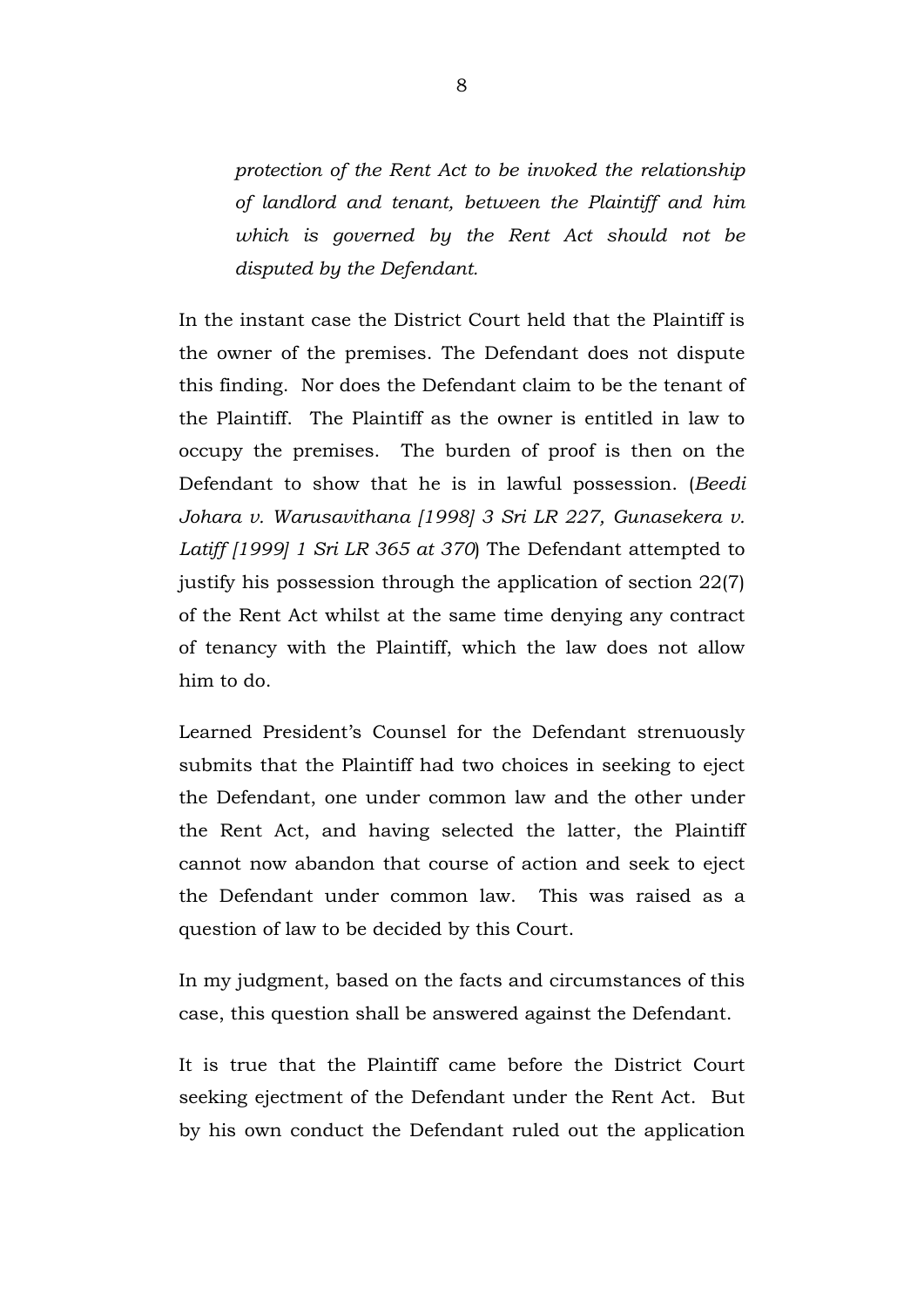*protection of the Rent Act to be invoked the relationship of landlord and tenant, between the Plaintiff and him which is governed by the Rent Act should not be disputed by the Defendant.*

In the instant case the District Court held that the Plaintiff is the owner of the premises. The Defendant does not dispute this finding. Nor does the Defendant claim to be the tenant of the Plaintiff. The Plaintiff as the owner is entitled in law to occupy the premises. The burden of proof is then on the Defendant to show that he is in lawful possession. (*Beedi Johara v. Warusavithana [1998] 3 Sri LR 227, Gunasekera v. Latiff [1999] 1 Sri LR 365 at 370*) The Defendant attempted to justify his possession through the application of section 22(7) of the Rent Act whilst at the same time denying any contract of tenancy with the Plaintiff, which the law does not allow him to do.

Learned President's Counsel for the Defendant strenuously submits that the Plaintiff had two choices in seeking to eject the Defendant, one under common law and the other under the Rent Act, and having selected the latter, the Plaintiff cannot now abandon that course of action and seek to eject the Defendant under common law. This was raised as a question of law to be decided by this Court.

In my judgment, based on the facts and circumstances of this case, this question shall be answered against the Defendant.

It is true that the Plaintiff came before the District Court seeking ejectment of the Defendant under the Rent Act. But by his own conduct the Defendant ruled out the application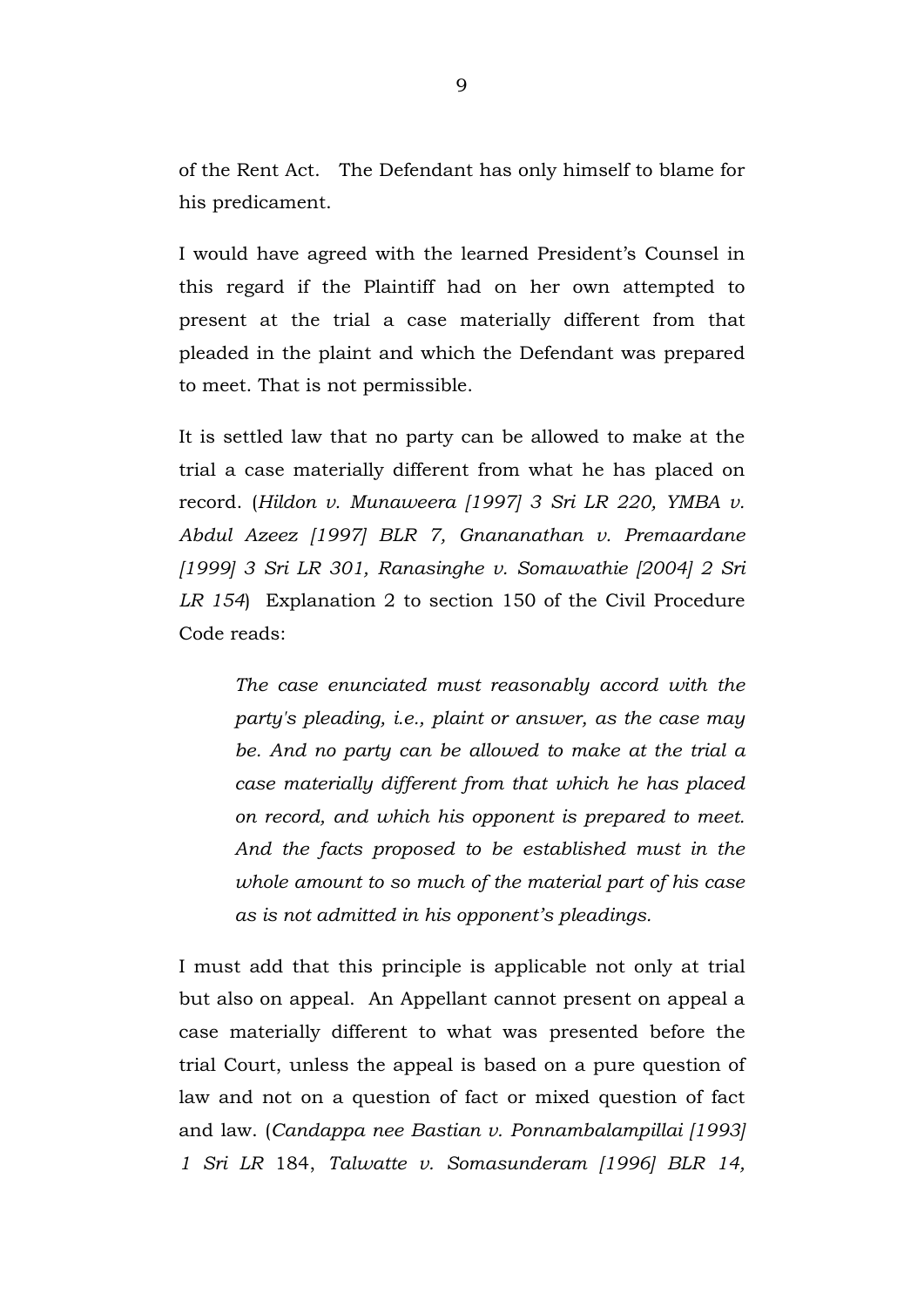of the Rent Act. The Defendant has only himself to blame for his predicament.

I would have agreed with the learned President's Counsel in this regard if the Plaintiff had on her own attempted to present at the trial a case materially different from that pleaded in the plaint and which the Defendant was prepared to meet. That is not permissible.

It is settled law that no party can be allowed to make at the trial a case materially different from what he has placed on record. (*Hildon v. Munaweera [1997] 3 Sri LR 220, YMBA v. Abdul Azeez [1997] BLR 7, Gnananathan v. Premaardane [1999] 3 Sri LR 301, Ranasinghe v. Somawathie [2004] 2 Sri LR 154*)Explanation 2 to section 150 of the Civil Procedure Code reads:

*The case enunciated must reasonably accord with the party's pleading, i.e., plaint or answer, as the case may be. And no party can be allowed to make at the trial a case materially different from that which he has placed on record, and which his opponent is prepared to meet. And the facts proposed to be established must in the whole amount to so much of the material part of his case as is not admitted in his opponent's pleadings.*

I must add that this principle is applicable not only at trial but also on appeal. An Appellant cannot present on appeal a case materially different to what was presented before the trial Court, unless the appeal is based on a pure question of law and not on a question of fact or mixed question of fact and law. (*Candappa nee Bastian v. Ponnambalampillai [1993] 1 Sri LR* 184, *Talwatte v. Somasunderam [1996] BLR 14,*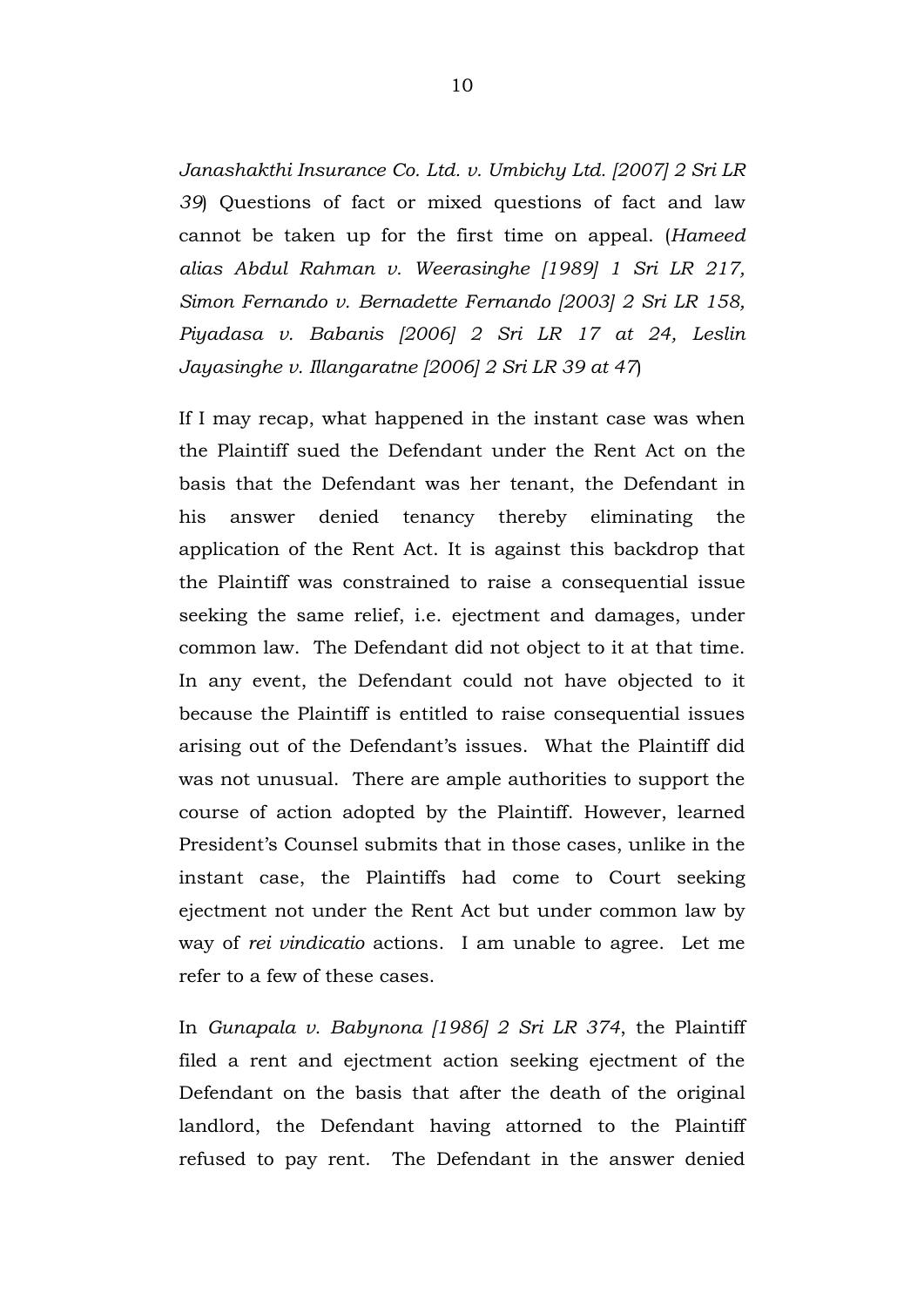*Janashakthi Insurance Co. Ltd. v. Umbichy Ltd. [2007] 2 Sri LR 39*) Questions of fact or mixed questions of fact and law cannot be taken up for the first time on appeal. (*Hameed alias Abdul Rahman v. Weerasinghe [1989] 1 Sri LR 217, Simon Fernando v. Bernadette Fernando [2003] 2 Sri LR 158, Piyadasa v. Babanis [2006] 2 Sri LR 17 at 24, Leslin Jayasinghe v. Illangaratne [2006] 2 Sri LR 39 at 47*)

If I may recap, what happened in the instant case was when the Plaintiff sued the Defendant under the Rent Act on the basis that the Defendant was her tenant, the Defendant in his answer denied tenancy thereby eliminating the application of the Rent Act. It is against this backdrop that the Plaintiff was constrained to raise a consequential issue seeking the same relief, i.e. ejectment and damages, under common law. The Defendant did not object to it at that time. In any event, the Defendant could not have objected to it because the Plaintiff is entitled to raise consequential issues arising out of the Defendant's issues. What the Plaintiff did was not unusual. There are ample authorities to support the course of action adopted by the Plaintiff. However, learned President's Counsel submits that in those cases, unlike in the instant case, the Plaintiffs had come to Court seeking ejectment not under the Rent Act but under common law by way of *rei vindicatio* actions. I am unable to agree. Let me refer to a few of these cases.

In *Gunapala v. Babynona [1986] 2 Sri LR 374*, the Plaintiff filed a rent and ejectment action seeking ejectment of the Defendant on the basis that after the death of the original landlord, the Defendant having attorned to the Plaintiff refused to pay rent. The Defendant in the answer denied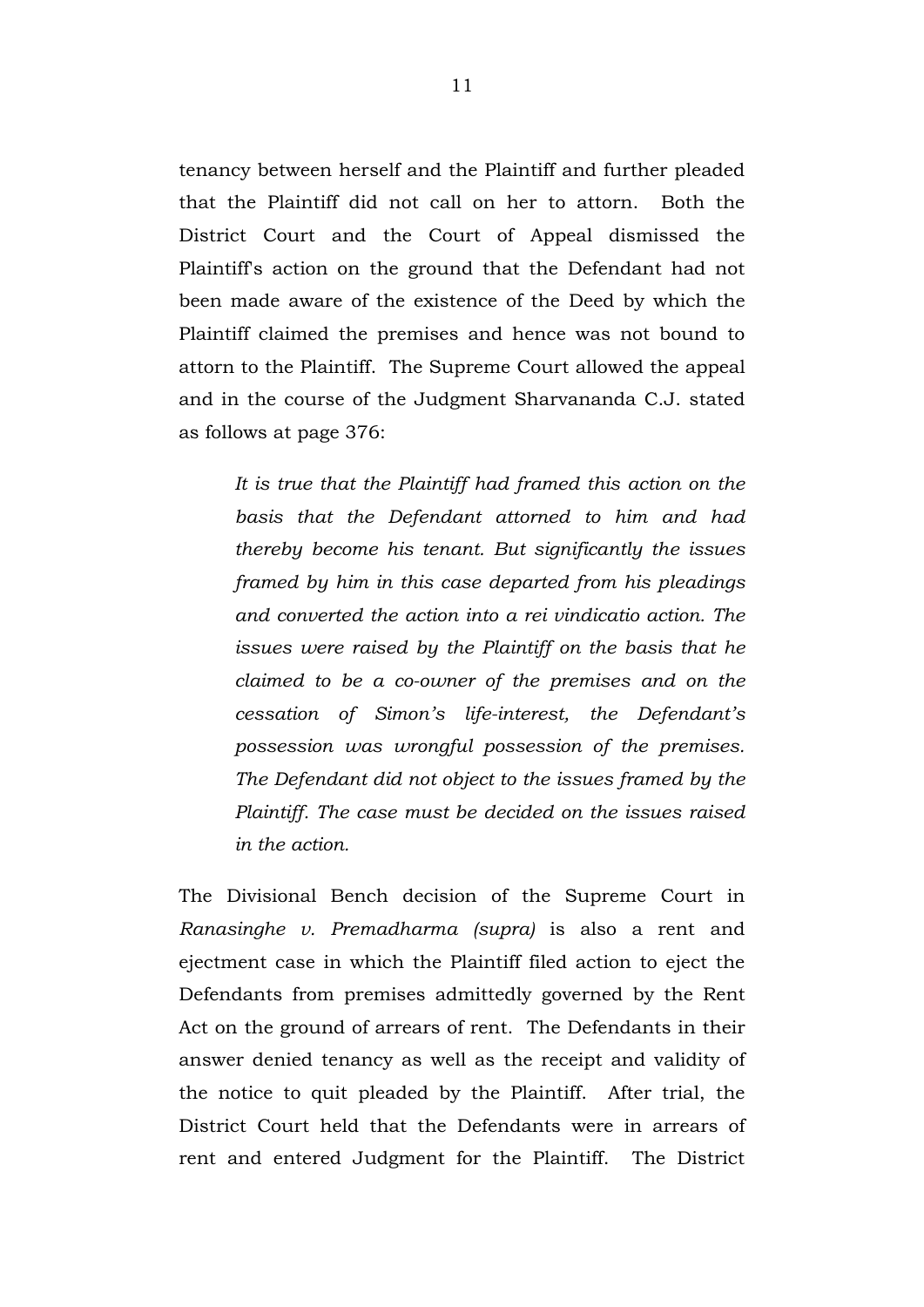tenancy between herself and the Plaintiff and further pleaded that the Plaintiff did not call on her to attorn. Both the District Court and the Court of Appeal dismissed the Plaintiff's action on the ground that the Defendant had not been made aware of the existence of the Deed by which the Plaintiff claimed the premises and hence was not bound to attorn to the Plaintiff. The Supreme Court allowed the appeal and in the course of the Judgment Sharvananda C.J. stated as follows at page 376:

*It is true that the Plaintiff had framed this action on the basis that the Defendant attorned to him and had thereby become his tenant. But significantly the issues framed by him in this case departed from his pleadings and converted the action into a rei vindicatio action. The issues were raised by the Plaintiff on the basis that he claimed to be a co-owner of the premises and on the cessation of Simon's life-interest, the Defendant's possession was wrongful possession of the premises. The Defendant did not object to the issues framed by the Plaintiff. The case must be decided on the issues raised in the action.*

The Divisional Bench decision of the Supreme Court in *Ranasinghe v. Premadharma (supra)* is also a rent and ejectment case in which the Plaintiff filed action to eject the Defendants from premises admittedly governed by the Rent Act on the ground of arrears of rent. The Defendants in their answer denied tenancy as well as the receipt and validity of the notice to quit pleaded by the Plaintiff. After trial, the District Court held that the Defendants were in arrears of rent and entered Judgment for the Plaintiff. The District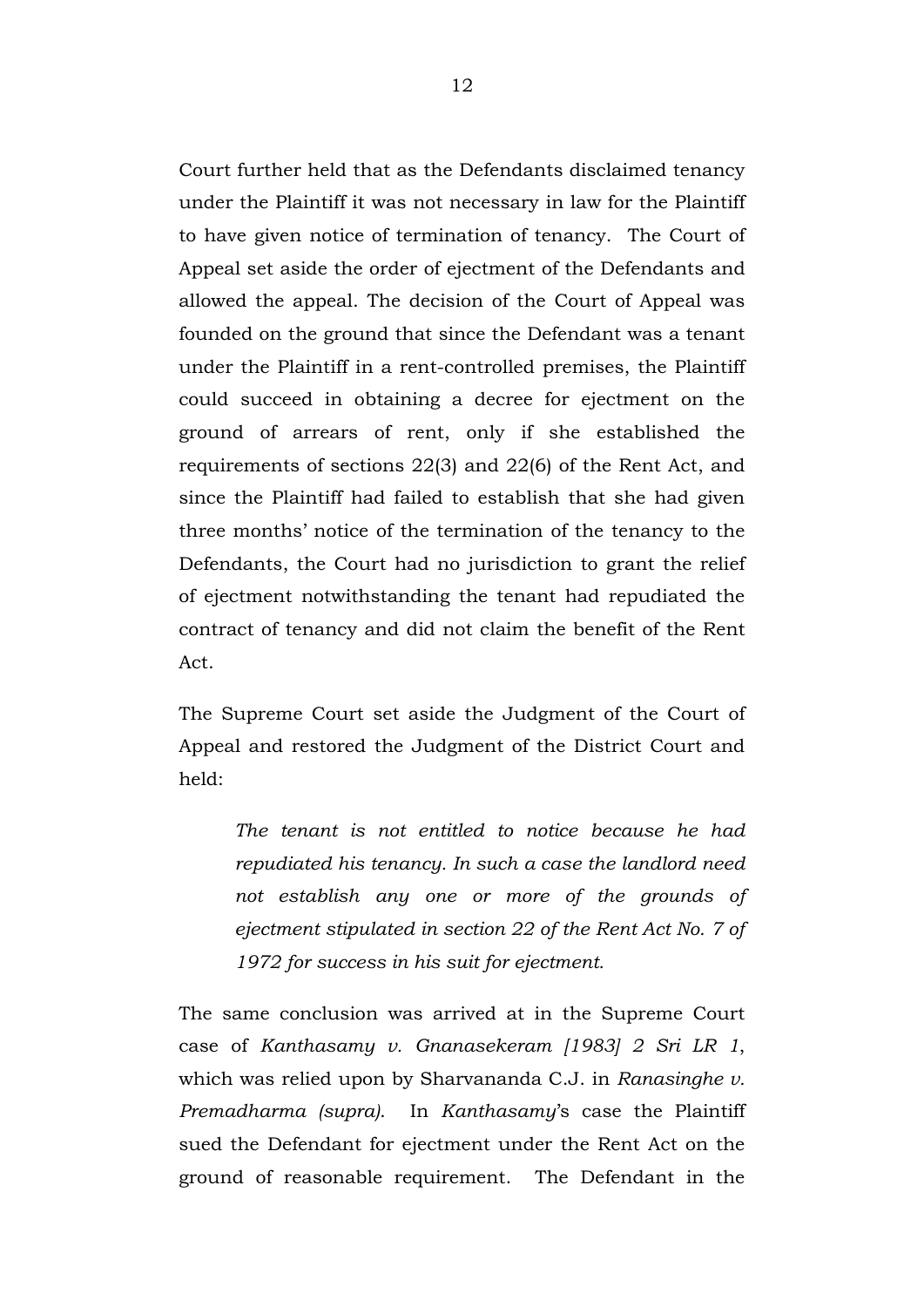Court further held that as the Defendants disclaimed tenancy under the Plaintiff it was not necessary in law for the Plaintiff to have given notice of termination of tenancy. The Court of Appeal set aside the order of ejectment of the Defendants and allowed the appeal. The decision of the Court of Appeal was founded on the ground that since the Defendant was a tenant under the Plaintiff in a rent-controlled premises, the Plaintiff could succeed in obtaining a decree for ejectment on the ground of arrears of rent, only if she established the requirements of sections 22(3) and 22(6) of the Rent Act, and since the Plaintiff had failed to establish that she had given three months' notice of the termination of the tenancy to the Defendants, the Court had no jurisdiction to grant the relief of ejectment notwithstanding the tenant had repudiated the contract of tenancy and did not claim the benefit of the Rent Act.

The Supreme Court set aside the Judgment of the Court of Appeal and restored the Judgment of the District Court and held:

*The tenant is not entitled to notice because he had repudiated his tenancy. In such a case the landlord need not establish any one or more of the grounds of ejectment stipulated in section 22 of the Rent Act No. 7 of 1972 for success in his suit for ejectment.*

The same conclusion was arrived at in the Supreme Court case of *Kanthasamy v. Gnanasekeram [1983] 2 Sri LR 1*, which was relied upon by Sharvananda C.J. in *Ranasinghe v. Premadharma (supra)*. In *Kanthasamy*'s case the Plaintiff sued the Defendant for ejectment under the Rent Act on the ground of reasonable requirement. The Defendant in the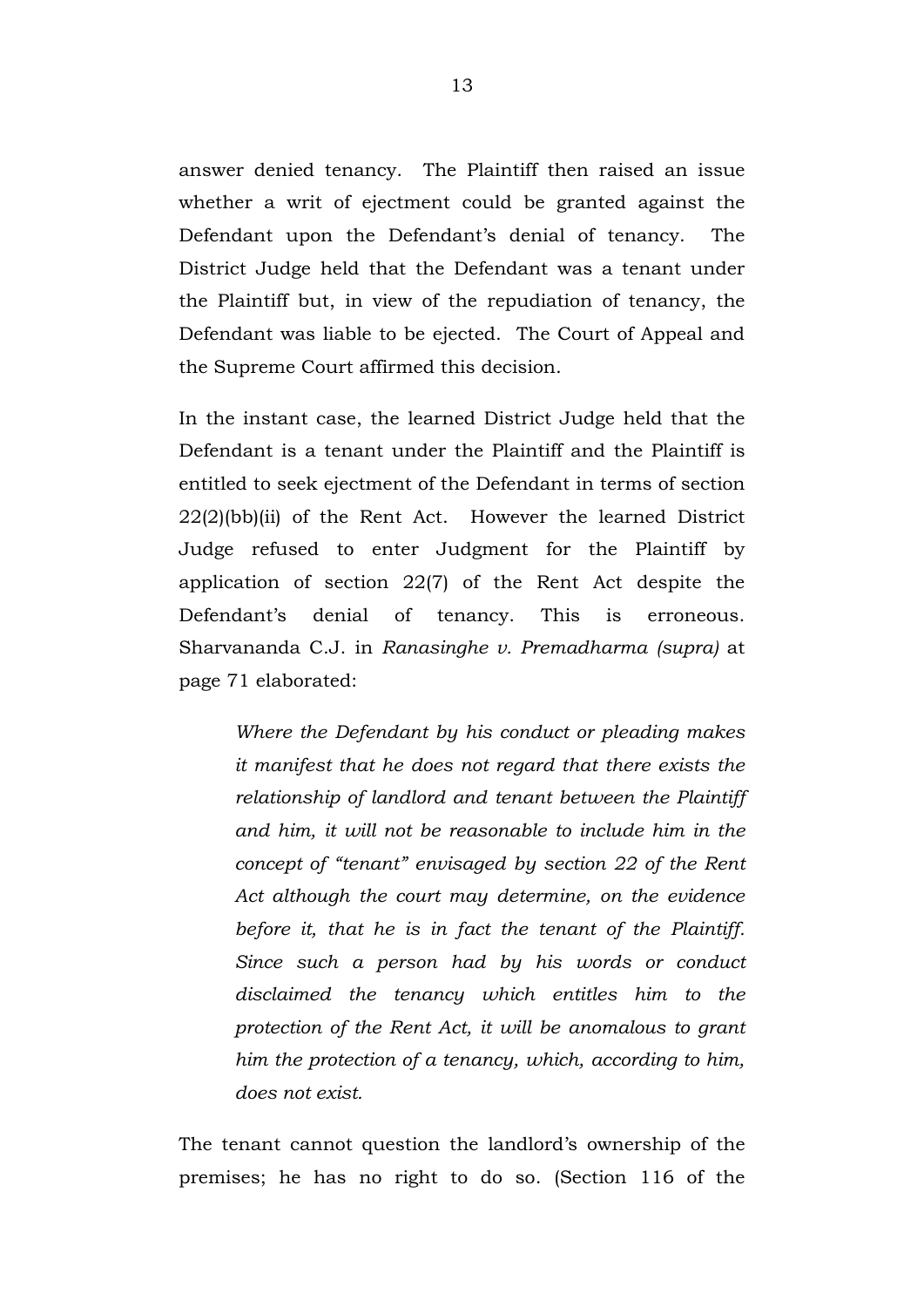answer denied tenancy. The Plaintiff then raised an issue whether a writ of ejectment could be granted against the Defendant upon the Defendant's denial of tenancy. The District Judge held that the Defendant was a tenant under the Plaintiff but, in view of the repudiation of tenancy, the Defendant was liable to be ejected. The Court of Appeal and the Supreme Court affirmed this decision.

In the instant case, the learned District Judge held that the Defendant is a tenant under the Plaintiff and the Plaintiff is entitled to seek ejectment of the Defendant in terms of section 22(2)(bb)(ii) of the Rent Act. However the learned District Judge refused to enter Judgment for the Plaintiff by application of section 22(7) of the Rent Act despite the Defendant's denial of tenancy. This is erroneous. Sharvananda C.J. in *Ranasinghe v. Premadharma (supra)* at page 71 elaborated:

*Where the Defendant by his conduct or pleading makes it manifest that he does not regard that there exists the relationship of landlord and tenant between the Plaintiff and him, it will not be reasonable to include him in the concept of "tenant" envisaged by section 22 of the Rent Act although the court may determine, on the evidence before it, that he is in fact the tenant of the Plaintiff. Since such a person had by his words or conduct disclaimed the tenancy which entitles him to the protection of the Rent Act, it will be anomalous to grant him the protection of a tenancy, which, according to him, does not exist.* 

The tenant cannot question the landlord's ownership of the premises; he has no right to do so. (Section 116 of the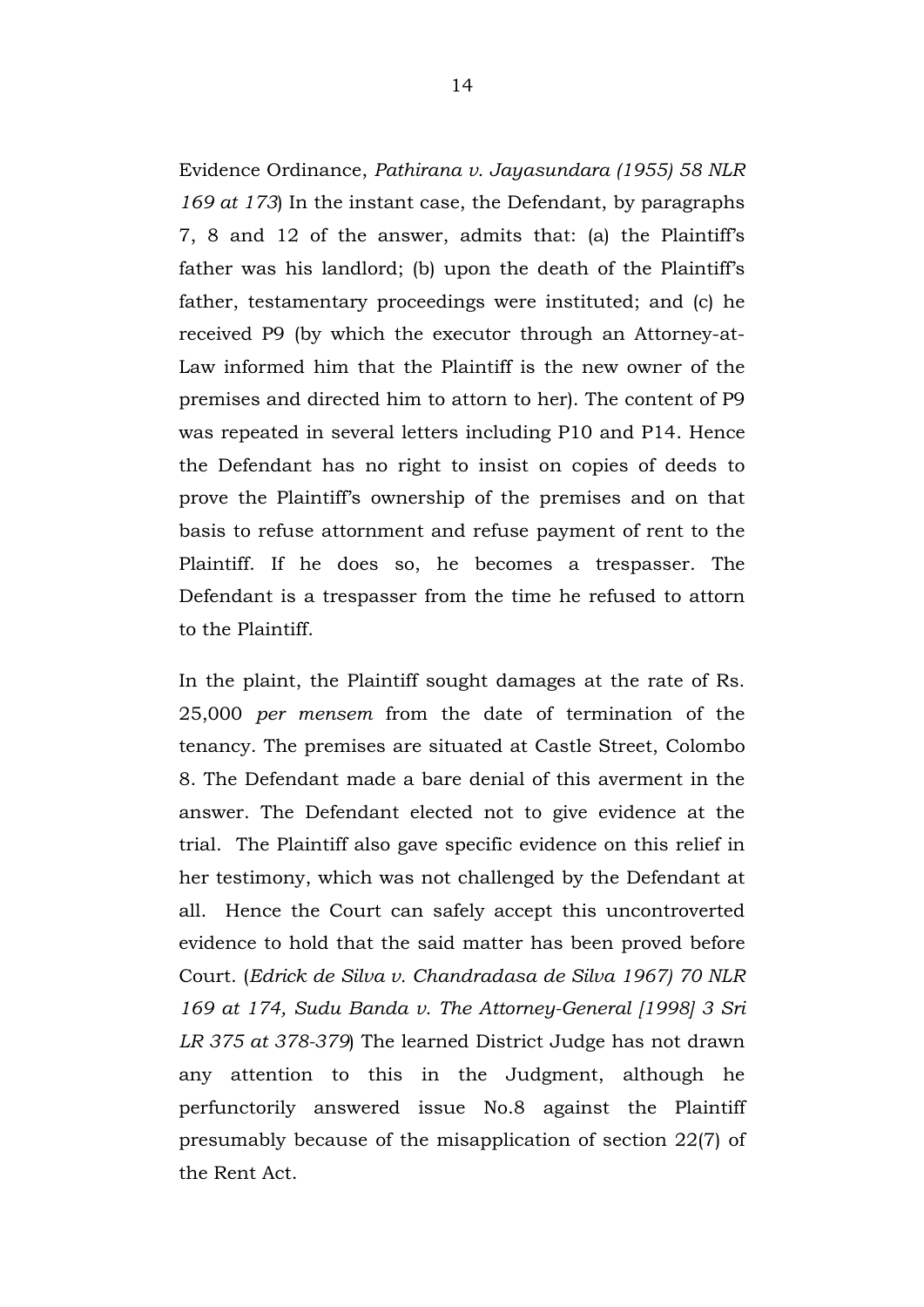Evidence Ordinance, *Pathirana v. Jayasundara (1955) 58 NLR 169 at 173*) In the instant case, the Defendant, by paragraphs 7, 8 and 12 of the answer, admits that: (a) the Plaintiff's father was his landlord; (b) upon the death of the Plaintiff's father, testamentary proceedings were instituted; and (c) he received P9 (by which the executor through an Attorney-at-Law informed him that the Plaintiff is the new owner of the premises and directed him to attorn to her). The content of P9 was repeated in several letters including P10 and P14. Hence the Defendant has no right to insist on copies of deeds to prove the Plaintiff's ownership of the premises and on that basis to refuse attornment and refuse payment of rent to the Plaintiff. If he does so, he becomes a trespasser. The Defendant is a trespasser from the time he refused to attorn to the Plaintiff.

In the plaint, the Plaintiff sought damages at the rate of Rs. 25,000 *per mensem* from the date of termination of the tenancy. The premises are situated at Castle Street, Colombo 8. The Defendant made a bare denial of this averment in the answer. The Defendant elected not to give evidence at the trial. The Plaintiff also gave specific evidence on this relief in her testimony, which was not challenged by the Defendant at all. Hence the Court can safely accept this uncontroverted evidence to hold that the said matter has been proved before Court. (*Edrick de Silva v. Chandradasa de Silva 1967) 70 NLR 169 at 174, Sudu Banda v. The Attorney-General [1998] 3 Sri LR 375 at 378-379*) The learned District Judge has not drawn any attention to this in the Judgment, although he perfunctorily answered issue No.8 against the Plaintiff presumably because of the misapplication of section 22(7) of the Rent Act.